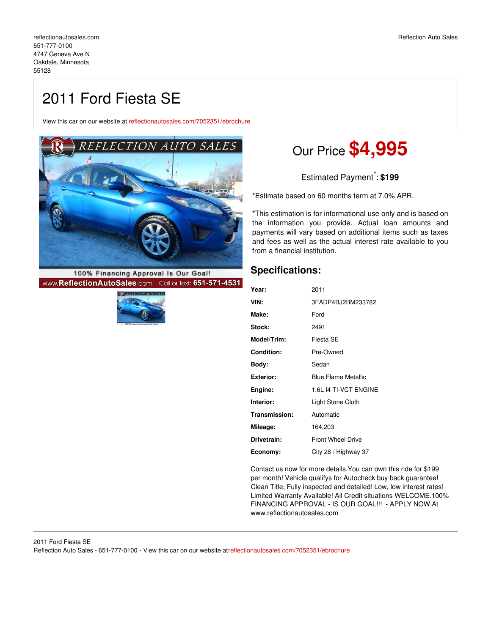View this car on our website at [reflectionautosales.com/7052351/ebrochure](https://reflectionautosales.com/vehicle/7052351/2011-ford-fiesta-se-oakdale-minnesota-55128/7052351/ebrochure)



100% Financing Approval Is Our Goal! www.ReflectionAutoSales.com Call or Text: 651-571-4531



# Our Price **\$4,995**

Estimated Payment \* : **\$199**

\*Estimate based on 60 months term at 7.0% APR.

\*This estimation is for informational use only and is based on the information you provide. Actual loan amounts and payments will vary based on additional items such as taxes and fees as well as the actual interest rate available to you from a financial institution.

### **Specifications:**

| Year:             | 2011                       |
|-------------------|----------------------------|
| VIN:              | 3FADP4BJ2BM233782          |
| Make:             | Ford                       |
| <b>Stock:</b>     | 2491                       |
| Model/Trim:       | Fiesta SE                  |
| <b>Condition:</b> | Pre-Owned                  |
| Bodv:             | Sedan                      |
| Exterior:         | <b>Blue Flame Metallic</b> |
| Engine:           | 1.6L I4 TI-VCT ENGINE      |
| Interior:         | Light Stone Cloth          |
| Transmission:     | Automatic                  |
| Mileage:          | 164,203                    |
| Drivetrain:       | <b>Front Wheel Drive</b>   |
| Economy:          | City 28 / Highway 37       |

Contact us now for more details.You can own this ride for \$199 per month! Vehicle qualifys for Autocheck buy back guarantee! Clean Title, Fully inspected and detailed! Low, low interest rates! Limited Warranty Available! All Credit situations WELCOME.100% FINANCING APPROVAL - IS OUR GOAL!!! - APPLY NOW At www.reflectionautosales.com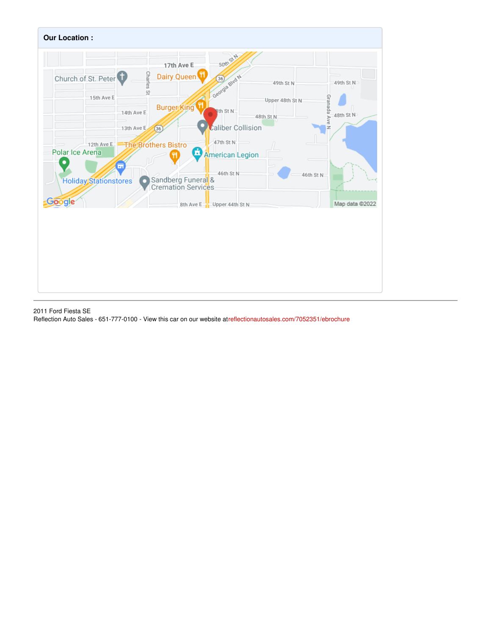

2011 Ford Fiesta SE Reflection Auto Sales - 651-777-0100 - View this car on our website a[treflectionautosales.com/7052351/ebrochure](https://reflectionautosales.com/vehicle/7052351/2011-ford-fiesta-se-oakdale-minnesota-55128/7052351/ebrochure)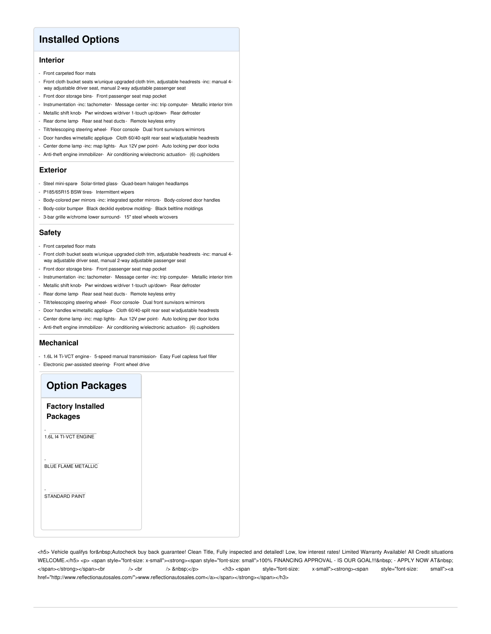## **Installed Options**

#### **Interior**

- Front carpeted floor mats
- Front cloth bucket seats w/unique upgraded cloth trim, adjustable headrests -inc: manual 4 way adjustable driver seat, manual 2-way adjustable passenger seat
- Front door storage bins- Front passenger seat map pocket
- Instrumentation -inc: tachometer- Message center -inc: trip computer- Metallic interior trim
- Metallic shift knob- Pwr windows w/driver 1-touch up/down- Rear defroster
- Rear dome lamp- Rear seat heat ducts Remote keyless entry
- Tilt/telescoping steering wheel- Floor console- Dual front sunvisors w/mirrors
- Door handles w/metallic applique- Cloth 60/40-split rear seat w/adjustable headrests
- Center dome lamp -inc: map lights- Aux 12V pwr point- Auto locking pwr door locks
- Anti-theft engine immobilizer- Air conditioning w/electronic actuation- (6) cupholders

#### **Exterior**

- Steel mini-spare Solar-tinted glass- Quad-beam halogen headlamps
- P185/65R15 BSW tires- Intermittent wipers
- Body-colored pwr mirrors -inc: integrated spotter mirrors- Body-colored door handles
- Body-color bumper Black decklid eyebrow molding- Black beltline moldings
- 3-bar grille w/chrome lower surround- 15" steel wheels w/covers

#### **Safety**

- Front carpeted floor mats
- Front cloth bucket seats w/unique upgraded cloth trim, adjustable headrests -inc: manual 4 way adjustable driver seat, manual 2-way adjustable passenger seat
- Front door storage bins- Front passenger seat map pocket
- Instrumentation -inc: tachometer- Message center -inc: trip computer- Metallic interior trim
- Metallic shift knob- Pwr windows w/driver 1-touch up/down- Rear defroster
- Rear dome lamp Rear seat heat ducts Remote keyless entry
- Tilt/telescoping steering wheel- Floor console- Dual front sunvisors w/mirrors
- Door handles w/metallic applique- Cloth 60/40-split rear seat w/adjustable headrests
- Center dome lamp -inc: map lights- Aux 12V pwr point- Auto locking pwr door locks
- Anti-theft engine immobilizer- Air conditioning w/electronic actuation- (6) cupholders

#### **Mechanical**

- 1.6L I4 Ti-VCT engine- 5-speed manual transmission- Easy Fuel capless fuel filler
- Electronic pwr-assisted steering- Front wheel drive

## **Option Packages Factory Installed Packages** - 1.6L I4 TI-VCT ENGINE - BLUE FLAME METALLIC - STANDARD PAINT

<h5> Vehicle qualifys for Autocheck buy back guarantee! Clean Title, Fully inspected and detailed! Low, low interest rates! Limited Warranty Available! All Credit situations WELCOME.</h5> <p> <span style="font-size: x-small"><strong><span style="font-size: small">100% FINANCING APPROVAL - IS OUR GOAL!!!&nbsp; - APPLY NOW AT&nbsp; </span></strong></span><br />> /> <br />
anbsp;</p>
</s>
</span style="font-size: x-small"><strong><span style="font-size: small"><s href="http://www.reflectionautosales.com/">www.reflectionautosales.com</a></span></strong></span></h3>